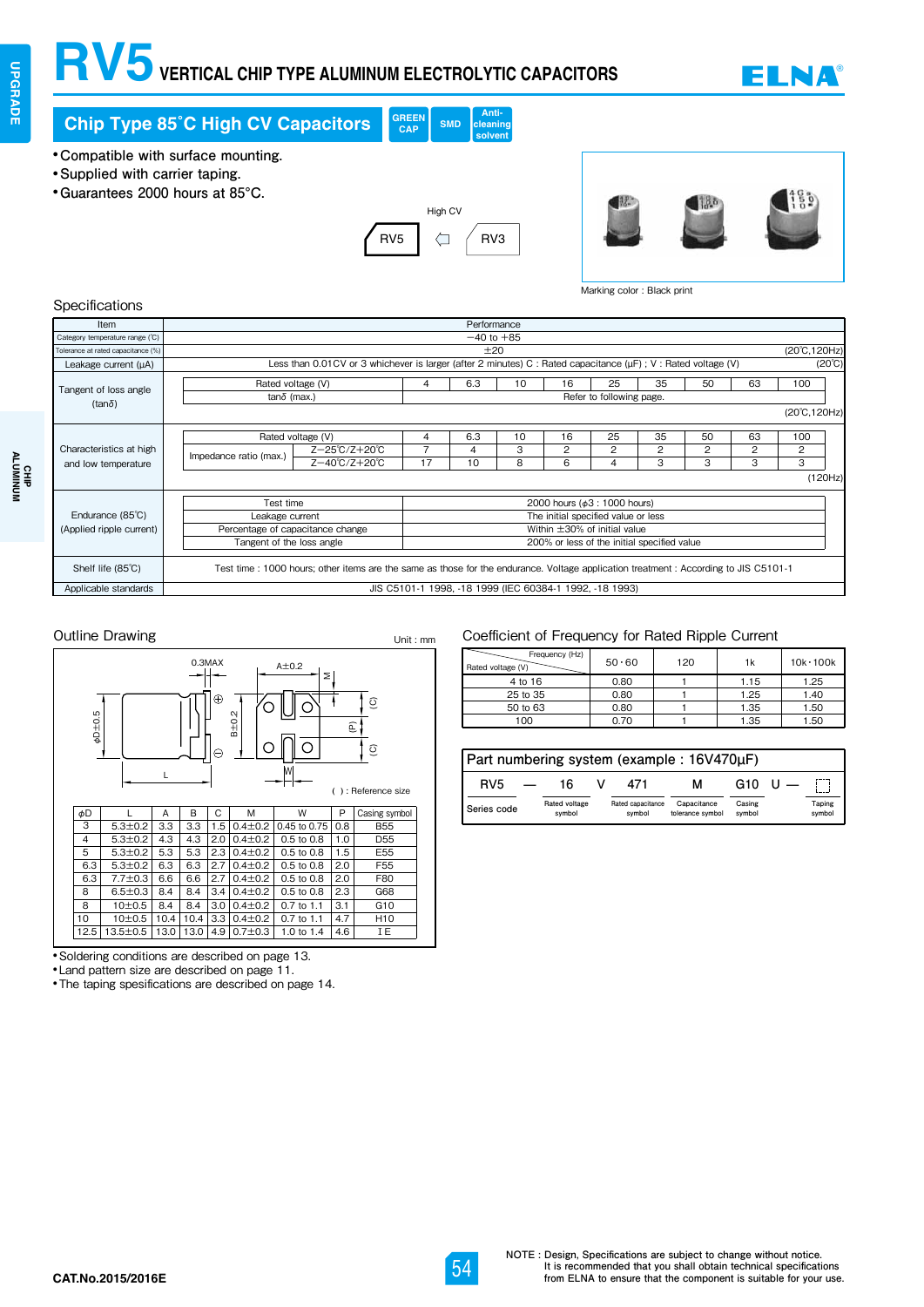# **RV5 VERTICAL CHIP TYPE ALUMINUM ELECTROLYTIC CAPACITORS**



**CHIP**<br>**GHIP**<br>GHIP **ALUMINUM**

**Chip Type 85˚C High CV Capacitors**

- **● Compatible with surface mounting.**
- **● Supplied with carrier taping.**
- **● Guarantees 2000 hours at 85°C.**



**GREEN CAP SMD**

**Anticleaning solvent**



Marking color : Black print

## **Specifications**

| Item                                           |                                  |                                                                                                                                     |                                             | Performance    |    |    |                                                         |                |    |    |               |                 |  |  |
|------------------------------------------------|----------------------------------|-------------------------------------------------------------------------------------------------------------------------------------|---------------------------------------------|----------------|----|----|---------------------------------------------------------|----------------|----|----|---------------|-----------------|--|--|
| Category temperature range (°C)                |                                  |                                                                                                                                     |                                             | $-40$ to $+85$ |    |    |                                                         |                |    |    |               |                 |  |  |
| Tolerance at rated capacitance (%)             |                                  |                                                                                                                                     |                                             | ±20            |    |    |                                                         |                |    |    | (20°C, 120Hz) |                 |  |  |
| Leakage current (µA)                           |                                  | Less than 0.01 CV or 3 whichever is larger (after 2 minutes) C : Rated capacitance ( $\mu$ F) ; V : Rated voltage (V)               |                                             |                |    |    |                                                         |                |    |    |               | $(20^{\circ}C)$ |  |  |
| Tangent of loss angle<br>(tan $\delta$ )       |                                  | 25<br>35<br>63<br>6.3<br>10<br>16<br>50<br>100<br>Rated voltage (V)<br>4                                                            |                                             |                |    |    |                                                         |                |    |    |               |                 |  |  |
|                                                | $tan\delta$ (max.)               |                                                                                                                                     | Refer to following page.                    |                |    |    |                                                         |                |    |    |               |                 |  |  |
|                                                |                                  |                                                                                                                                     |                                             |                |    |    |                                                         |                |    |    | (20°C, 120Hz) |                 |  |  |
| Characteristics at high<br>and low temperature |                                  | Rated voltage (V)                                                                                                                   |                                             |                | 10 | 16 | 25                                                      | 35             | 50 | 63 | 100           |                 |  |  |
|                                                |                                  | Z-25°C/Z+20°C                                                                                                                       |                                             | 4              | З  | 2  | 2                                                       | $\overline{c}$ | 2  | 2  | 2             |                 |  |  |
|                                                | Impedance ratio (max.)           | Z-40°C/Z+20°C                                                                                                                       | 17                                          | 10             | 8  | 6  | 4                                                       | З              | 3  | 3  | 3             |                 |  |  |
|                                                |                                  |                                                                                                                                     |                                             |                |    |    |                                                         |                |    |    |               | (120Hz)         |  |  |
|                                                | Test time                        |                                                                                                                                     |                                             |                |    |    | 2000 hours ( $\phi$ 3: 1000 hours)                      |                |    |    |               |                 |  |  |
| Endurance (85°C)                               | Leakage current                  |                                                                                                                                     |                                             |                |    |    | The initial specified value or less                     |                |    |    |               |                 |  |  |
| (Applied ripple current)                       | Percentage of capacitance change |                                                                                                                                     | Within $\pm 30\%$ of initial value          |                |    |    |                                                         |                |    |    |               |                 |  |  |
|                                                | Tangent of the loss angle        |                                                                                                                                     | 200% or less of the initial specified value |                |    |    |                                                         |                |    |    |               |                 |  |  |
| Shelf life (85°C)                              |                                  | Test time: 1000 hours; other items are the same as those for the endurance. Voltage application treatment: According to JIS C5101-1 |                                             |                |    |    |                                                         |                |    |    |               |                 |  |  |
| Applicable standards                           |                                  |                                                                                                                                     |                                             |                |    |    | JIS C5101-1 1998, -18 1999 (IEC 60384-1 1992, -18 1993) |                |    |    |               |                 |  |  |



● Soldering conditions are described on page 13.

• Land pattern size are described on page 11.

• The taping spesifications are described on page 14.

### Outline Drawing Coefficient of Frequency for Rated Ripple Current

| Frequency (Hz)<br>Rated voltage (V) | 50.60 | 120 | 1k   | $10k \cdot 100k$ |
|-------------------------------------|-------|-----|------|------------------|
| 4 to 16                             | 0.80  |     | 1.15 | 1.25             |
| 25 to 35                            | 0.80  |     | 1.25 | 1.40             |
| 50 to 63                            | 0.80  |     | 1.35 | 1.50             |
| 100                                 | 0.70  |     | 1.35 | 1.50             |

| Part numbering system (example: 16V470uF) |  |                         |  |                             |                                 |                  |  |                  |  |  |  |  |
|-------------------------------------------|--|-------------------------|--|-----------------------------|---------------------------------|------------------|--|------------------|--|--|--|--|
| RV <sub>5</sub>                           |  | 16                      |  | 471                         | м                               | G <sub>10</sub>  |  |                  |  |  |  |  |
| Series code                               |  | Rated voltage<br>symbol |  | Rated capacitance<br>symbol | Capacitance<br>tolerance symbol | Casing<br>symbol |  | Taping<br>symbol |  |  |  |  |